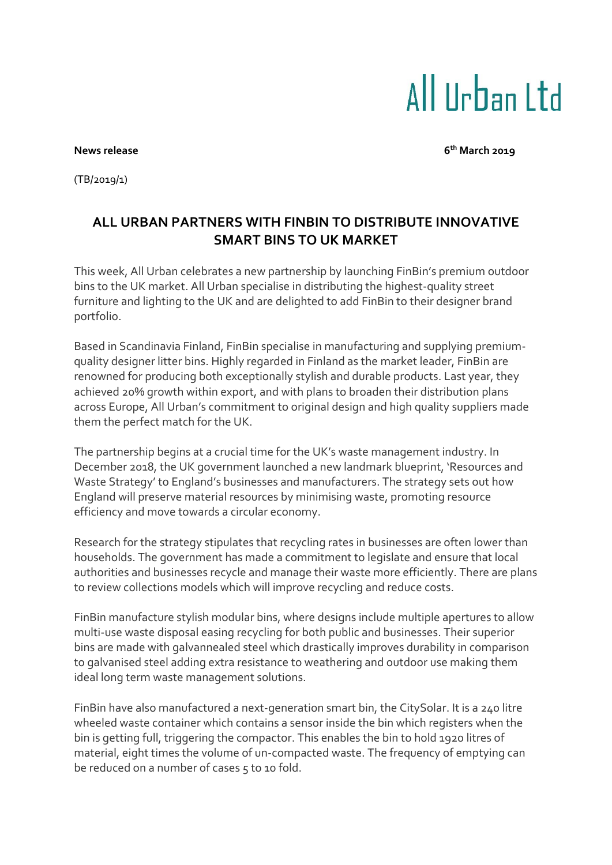## All IIrban I td

**News** release

**th March 2019**

(TB/2019/1)

## **ALL URBAN PARTNERS WITH FINBIN TO DISTRIBUTE INNOVATIVE SMART BINS TO UK MARKET**

This week, All Urban celebrates a new partnership by launching FinBin's premium outdoor bins to the UK market. All Urban specialise in distributing the highest-quality street furniture and lighting to the UK and are delighted to add FinBin to their designer brand portfolio.

Based in Scandinavia Finland, FinBin specialise in manufacturing and supplying premiumquality designer litter bins. Highly regarded in Finland as the market leader, FinBin are renowned for producing both exceptionally stylish and durable products. Last year, they achieved 20% growth within export, and with plans to broaden their distribution plans across Europe, All Urban's commitment to original design and high quality suppliers made them the perfect match for the UK.

The partnership begins at a crucial time for the UK's waste management industry. In December 2018, the UK government launched a new landmark blueprint, 'Resources and Waste Strategy' to England's businesses and manufacturers. The strategy sets out how England will preserve material resources by minimising waste, promoting resource efficiency and move towards a circular economy.

Research for the strategy stipulates that recycling rates in businesses are often lower than households. The government has made a commitment to legislate and ensure that local authorities and businesses recycle and manage their waste more efficiently. There are plans to review collections models which will improve recycling and reduce costs.

FinBin manufacture stylish modular bins, where designs include multiple apertures to allow multi-use waste disposal easing recycling for both public and businesses. Their superior bins are made with galvannealed steel which drastically improves durability in comparison to galvanised steel adding extra resistance to weathering and outdoor use making them ideal long term waste management solutions.

FinBin have also manufactured a next-generation smart bin, the CitySolar. It is a 240 litre wheeled waste container which contains a sensor inside the bin which registers when the bin is getting full, triggering the compactor. This enables the bin to hold 1920 litres of material, eight times the volume of un-compacted waste. The frequency of emptying can be reduced on a number of cases 5 to 10 fold.